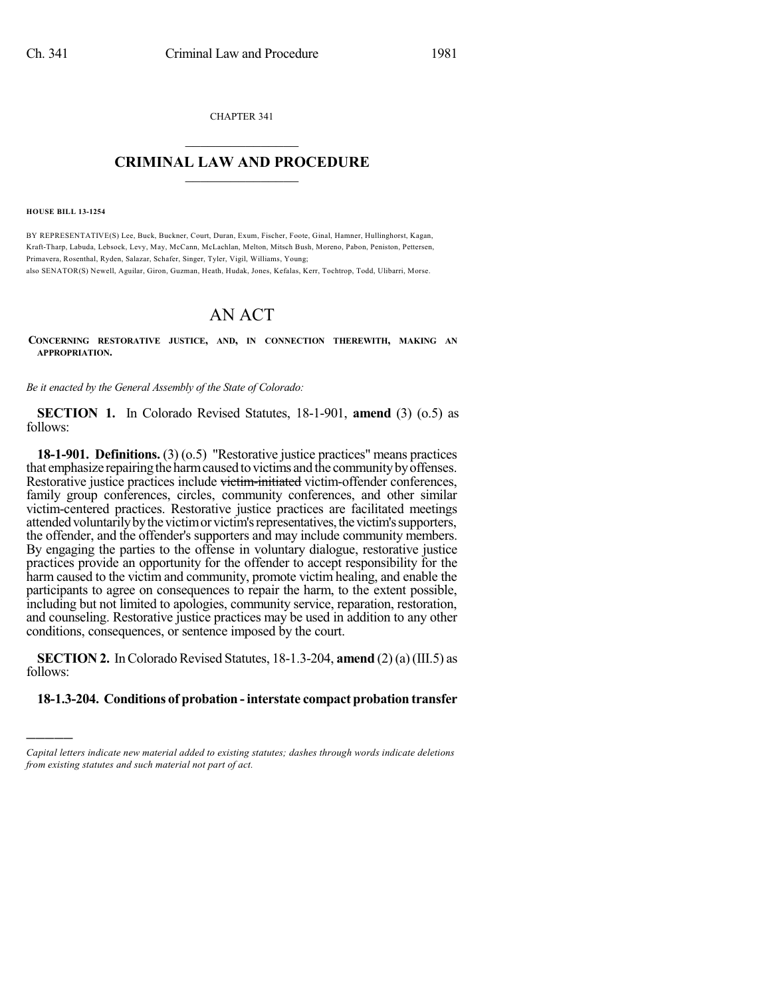CHAPTER 341  $\overline{\phantom{a}}$  . The set of the set of the set of the set of the set of the set of the set of the set of the set of the set of the set of the set of the set of the set of the set of the set of the set of the set of the set o

# **CRIMINAL LAW AND PROCEDURE**  $\frac{1}{2}$  ,  $\frac{1}{2}$  ,  $\frac{1}{2}$  ,  $\frac{1}{2}$  ,  $\frac{1}{2}$  ,  $\frac{1}{2}$  ,  $\frac{1}{2}$

**HOUSE BILL 13-1254**

)))))

BY REPRESENTATIVE(S) Lee, Buck, Buckner, Court, Duran, Exum, Fischer, Foote, Ginal, Hamner, Hullinghorst, Kagan, Kraft-Tharp, Labuda, Lebsock, Levy, May, McCann, McLachlan, Melton, Mitsch Bush, Moreno, Pabon, Peniston, Pettersen, Primavera, Rosenthal, Ryden, Salazar, Schafer, Singer, Tyler, Vigil, Williams, Young;

also SENATOR(S) Newell, Aguilar, Giron, Guzman, Heath, Hudak, Jones, Kefalas, Kerr, Tochtrop, Todd, Ulibarri, Morse.

# AN ACT

**CONCERNING RESTORATIVE JUSTICE, AND, IN CONNECTION THEREWITH, MAKING AN APPROPRIATION.**

*Be it enacted by the General Assembly of the State of Colorado:*

**SECTION 1.** In Colorado Revised Statutes, 18-1-901, **amend** (3) (o.5) as follows:

**18-1-901. Definitions.** (3) (o.5) "Restorative justice practices" means practices that emphasize repairing the harm caused to victims and the community by offenses. Restorative justice practices include victim-initiated victim-offender conferences, family group conferences, circles, community conferences, and other similar victim-centered practices. Restorative justice practices are facilitated meetings attended voluntarily by the victim or victim's representatives, the victim's supporters, the offender, and the offender's supporters and may include community members. By engaging the parties to the offense in voluntary dialogue, restorative justice practices provide an opportunity for the offender to accept responsibility for the harm caused to the victim and community, promote victim healing, and enable the participants to agree on consequences to repair the harm, to the extent possible, including but not limited to apologies, community service, reparation, restoration, and counseling. Restorative justice practices may be used in addition to any other conditions, consequences, or sentence imposed by the court.

**SECTION 2.** In Colorado Revised Statutes, 18-1.3-204, **amend** (2) (a) (III.5) as follows:

# **18-1.3-204. Conditions of probation -interstate compact probation transfer**

*Capital letters indicate new material added to existing statutes; dashes through words indicate deletions from existing statutes and such material not part of act.*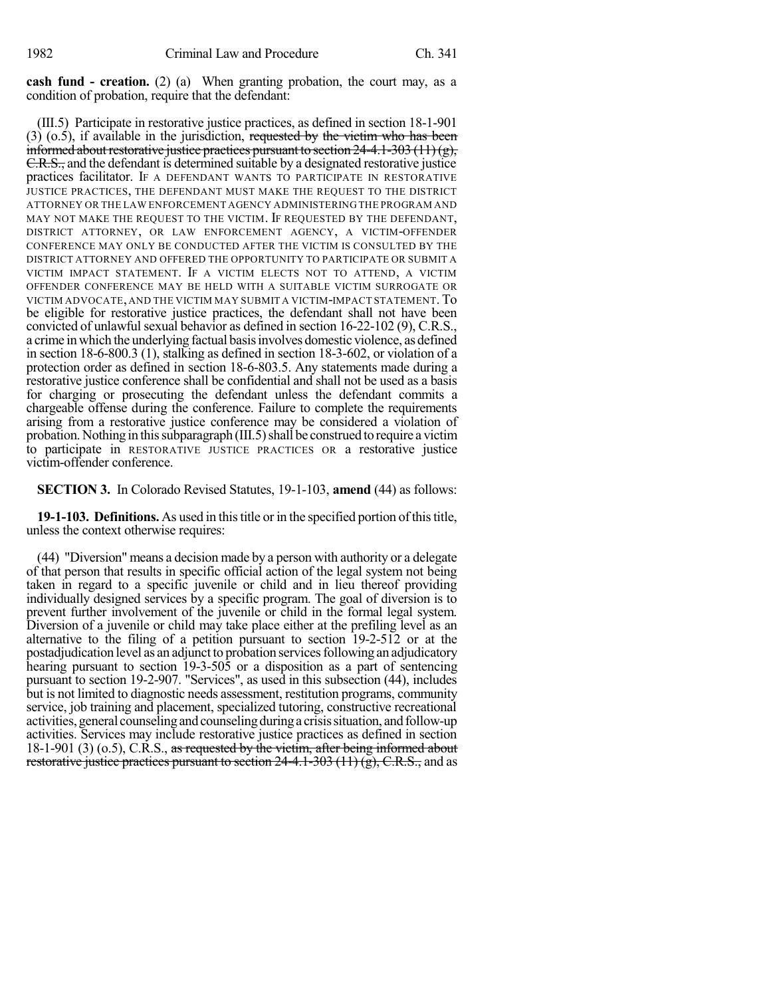**cash fund - creation.** (2) (a) When granting probation, the court may, as a condition of probation, require that the defendant:

(III.5) Participate in restorative justice practices, as defined in section 18-1-901  $(3)$  (o.5), if available in the jurisdiction, requested by the victim who has been informed about restorative justice practices pursuant to section  $24-4.1-303(11)(g)$ , C.R.S., and the defendant is determined suitable by a designated restorative justice practices facilitator. IF A DEFENDANT WANTS TO PARTICIPATE IN RESTORATIVE JUSTICE PRACTICES, THE DEFENDANT MUST MAKE THE REQUEST TO THE DISTRICT ATTORNEY OR THE LAW ENFORCEMENT AGENCY ADMINISTERING THE PROGRAM AND MAY NOT MAKE THE REQUEST TO THE VICTIM. IF REQUESTED BY THE DEFENDANT, DISTRICT ATTORNEY, OR LAW ENFORCEMENT AGENCY, A VICTIM-OFFENDER CONFERENCE MAY ONLY BE CONDUCTED AFTER THE VICTIM IS CONSULTED BY THE DISTRICT ATTORNEY AND OFFERED THE OPPORTUNITY TO PARTICIPATE OR SUBMIT A VICTIM IMPACT STATEMENT. IF A VICTIM ELECTS NOT TO ATTEND, A VICTIM OFFENDER CONFERENCE MAY BE HELD WITH A SUITABLE VICTIM SURROGATE OR VICTIM ADVOCATE, AND THE VICTIM MAY SUBMIT A VICTIM-IMPACT STATEMENT.To be eligible for restorative justice practices, the defendant shall not have been convicted of unlawful sexual behavior as defined in section 16-22-102 (9), C.R.S., a crime in which the underlying factual basisinvolves domestic violence, as defined in section 18-6-800.3 (1), stalking as defined in section 18-3-602, or violation of a protection order as defined in section 18-6-803.5. Any statements made during a restorative justice conference shall be confidential and shall not be used as a basis for charging or prosecuting the defendant unless the defendant commits a chargeable offense during the conference. Failure to complete the requirements arising from a restorative justice conference may be considered a violation of probation. Nothing in this subparagraph (III.5) shall be construed to require a victim to participate in RESTORATIVE JUSTICE PRACTICES OR a restorative justice victim-offender conference.

**SECTION 3.** In Colorado Revised Statutes, 19-1-103, **amend** (44) as follows:

**19-1-103. Definitions.** As used in this title or in the specified portion of this title, unless the context otherwise requires:

(44) "Diversion" means a decision made by a person with authority or a delegate of that person that results in specific official action of the legal system not being taken in regard to a specific juvenile or child and in lieu thereof providing individually designed services by a specific program. The goal of diversion is to prevent further involvement of the juvenile or child in the formal legal system. Diversion of a juvenile or child may take place either at the prefiling level as an alternative to the filing of a petition pursuant to section 19-2-512 or at the postadjudication level as an adjunct to probation services following an adjudicatory hearing pursuant to section 19-3-505 or a disposition as a part of sentencing pursuant to section 19-2-907. "Services", as used in this subsection (44), includes but is not limited to diagnostic needs assessment, restitution programs, community service, job training and placement, specialized tutoring, constructive recreational activities, general counseling and counseling during a crisis situation, and follow-up activities. Services may include restorative justice practices as defined in section  $18-1-901$  (3) (o.5), C.R.S., as requested by the victim, after being informed about restorative justice practices pursuant to section  $24-4.1-303(11)(g)$ , C.R.S., and as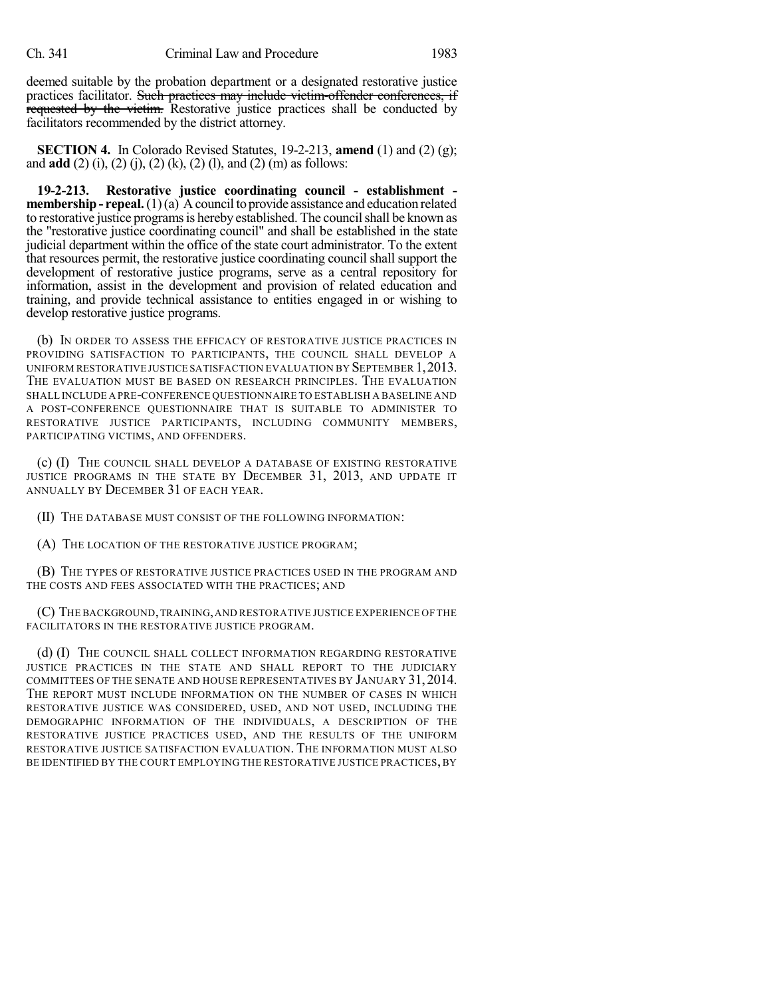deemed suitable by the probation department or a designated restorative justice practices facilitator. Such practices may include victim-offender conferences, if requested by the victim. Restorative justice practices shall be conducted by facilitators recommended by the district attorney.

**SECTION 4.** In Colorado Revised Statutes, 19-2-213, **amend** (1) and (2) (g); and **add** (2) (i), (2) (j), (2) (k), (2) (l), and (2) (m) as follows:

**19-2-213. Restorative justice coordinating council - establishment membership - repeal.**(1)(a) A council to provide assistance and education related to restorative justice programs is hereby established. The council shall be known as the "restorative justice coordinating council" and shall be established in the state judicial department within the office of the state court administrator. To the extent that resources permit, the restorative justice coordinating council shall support the development of restorative justice programs, serve as a central repository for information, assist in the development and provision of related education and training, and provide technical assistance to entities engaged in or wishing to develop restorative justice programs.

(b) IN ORDER TO ASSESS THE EFFICACY OF RESTORATIVE JUSTICE PRACTICES IN PROVIDING SATISFACTION TO PARTICIPANTS, THE COUNCIL SHALL DEVELOP A UNIFORM RESTORATIVE JUSTICE SATISFACTION EVALUATION BY SEPTEMBER 1,2013. THE EVALUATION MUST BE BASED ON RESEARCH PRINCIPLES. THE EVALUATION SHALL INCLUDE A PRE-CONFERENCE QUESTIONNAIRE TO ESTABLISH A BASELINE AND A POST-CONFERENCE QUESTIONNAIRE THAT IS SUITABLE TO ADMINISTER TO RESTORATIVE JUSTICE PARTICIPANTS, INCLUDING COMMUNITY MEMBERS, PARTICIPATING VICTIMS, AND OFFENDERS.

(c) (I) THE COUNCIL SHALL DEVELOP A DATABASE OF EXISTING RESTORATIVE JUSTICE PROGRAMS IN THE STATE BY DECEMBER 31, 2013, AND UPDATE IT ANNUALLY BY DECEMBER 31 OF EACH YEAR.

(II) THE DATABASE MUST CONSIST OF THE FOLLOWING INFORMATION:

(A) THE LOCATION OF THE RESTORATIVE JUSTICE PROGRAM;

(B) THE TYPES OF RESTORATIVE JUSTICE PRACTICES USED IN THE PROGRAM AND THE COSTS AND FEES ASSOCIATED WITH THE PRACTICES; AND

(C) THE BACKGROUND,TRAINING,AND RESTORATIVE JUSTICE EXPERIENCE OF THE FACILITATORS IN THE RESTORATIVE JUSTICE PROGRAM.

(d) (I) THE COUNCIL SHALL COLLECT INFORMATION REGARDING RESTORATIVE JUSTICE PRACTICES IN THE STATE AND SHALL REPORT TO THE JUDICIARY COMMITTEES OF THE SENATE AND HOUSE REPRESENTATIVES BY JANUARY 31, 2014. THE REPORT MUST INCLUDE INFORMATION ON THE NUMBER OF CASES IN WHICH RESTORATIVE JUSTICE WAS CONSIDERED, USED, AND NOT USED, INCLUDING THE DEMOGRAPHIC INFORMATION OF THE INDIVIDUALS, A DESCRIPTION OF THE RESTORATIVE JUSTICE PRACTICES USED, AND THE RESULTS OF THE UNIFORM RESTORATIVE JUSTICE SATISFACTION EVALUATION. THE INFORMATION MUST ALSO BE IDENTIFIED BY THE COURT EMPLOYING THE RESTORATIVE JUSTICE PRACTICES, BY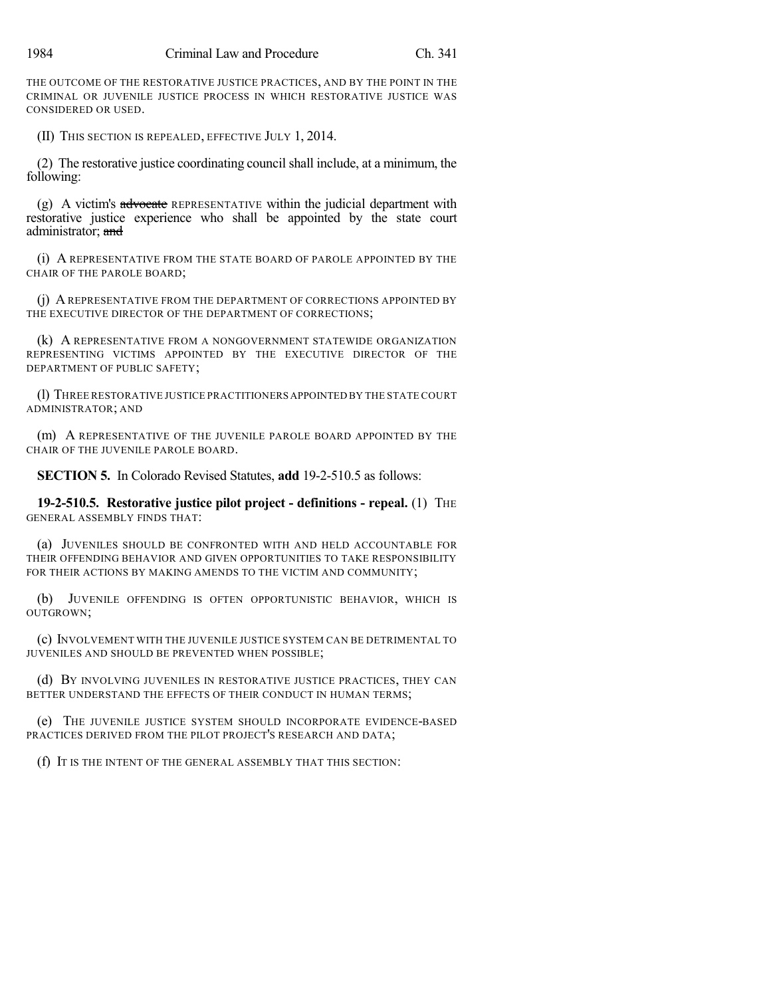THE OUTCOME OF THE RESTORATIVE JUSTICE PRACTICES, AND BY THE POINT IN THE CRIMINAL OR JUVENILE JUSTICE PROCESS IN WHICH RESTORATIVE JUSTICE WAS CONSIDERED OR USED.

(II) THIS SECTION IS REPEALED, EFFECTIVE JULY 1, 2014.

(2) The restorative justice coordinating council shall include, at a minimum, the following:

 $(g)$  A victim's advocate REPRESENTATIVE within the judicial department with restorative justice experience who shall be appointed by the state court administrator; and

(i) A REPRESENTATIVE FROM THE STATE BOARD OF PAROLE APPOINTED BY THE CHAIR OF THE PAROLE BOARD;

(j) A REPRESENTATIVE FROM THE DEPARTMENT OF CORRECTIONS APPOINTED BY THE EXECUTIVE DIRECTOR OF THE DEPARTMENT OF CORRECTIONS;

(k) A REPRESENTATIVE FROM A NONGOVERNMENT STATEWIDE ORGANIZATION REPRESENTING VICTIMS APPOINTED BY THE EXECUTIVE DIRECTOR OF THE DEPARTMENT OF PUBLIC SAFETY;

(l) THREE RESTORATIVE JUSTICE PRACTITIONERS APPOINTED BY THE STATE COURT ADMINISTRATOR; AND

(m) A REPRESENTATIVE OF THE JUVENILE PAROLE BOARD APPOINTED BY THE CHAIR OF THE JUVENILE PAROLE BOARD.

**SECTION 5.** In Colorado Revised Statutes, **add** 19-2-510.5 as follows:

**19-2-510.5. Restorative justice pilot project - definitions - repeal.** (1) THE GENERAL ASSEMBLY FINDS THAT:

(a) JUVENILES SHOULD BE CONFRONTED WITH AND HELD ACCOUNTABLE FOR THEIR OFFENDING BEHAVIOR AND GIVEN OPPORTUNITIES TO TAKE RESPONSIBILITY FOR THEIR ACTIONS BY MAKING AMENDS TO THE VICTIM AND COMMUNITY;

(b) JUVENILE OFFENDING IS OFTEN OPPORTUNISTIC BEHAVIOR, WHICH IS OUTGROWN;

(c) INVOLVEMENT WITH THE JUVENILE JUSTICE SYSTEM CAN BE DETRIMENTAL TO JUVENILES AND SHOULD BE PREVENTED WHEN POSSIBLE;

(d) BY INVOLVING JUVENILES IN RESTORATIVE JUSTICE PRACTICES, THEY CAN BETTER UNDERSTAND THE EFFECTS OF THEIR CONDUCT IN HUMAN TERMS;

(e) THE JUVENILE JUSTICE SYSTEM SHOULD INCORPORATE EVIDENCE-BASED PRACTICES DERIVED FROM THE PILOT PROJECT'S RESEARCH AND DATA;

(f) IT IS THE INTENT OF THE GENERAL ASSEMBLY THAT THIS SECTION: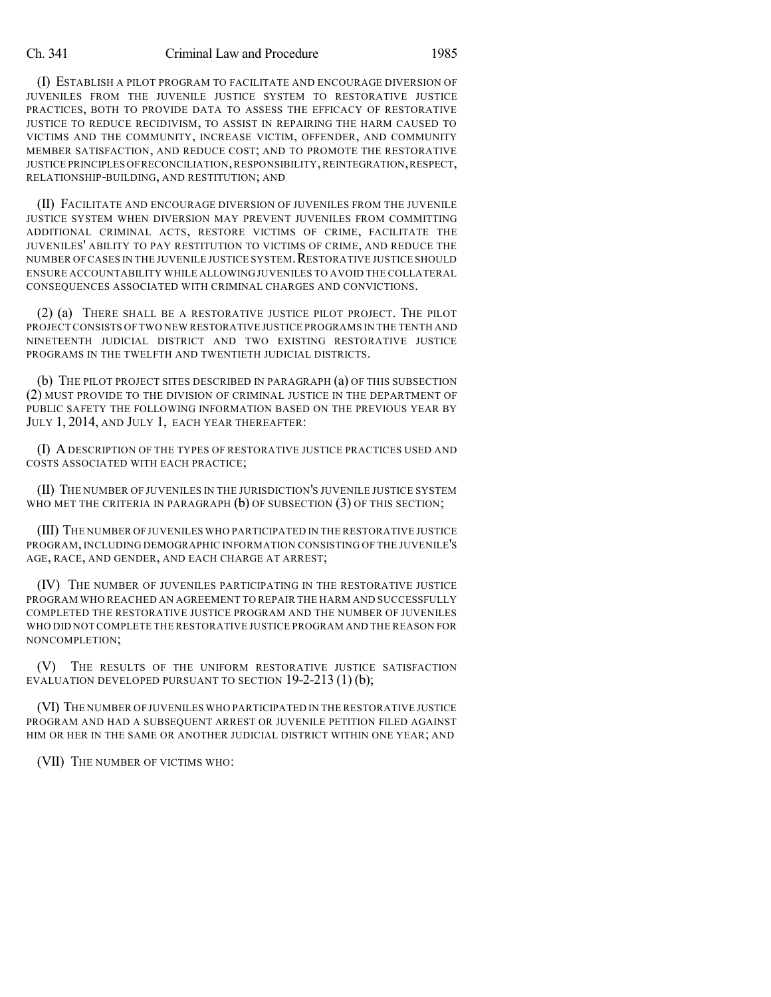#### Ch. 341 Criminal Law and Procedure 1985

(I) ESTABLISH A PILOT PROGRAM TO FACILITATE AND ENCOURAGE DIVERSION OF JUVENILES FROM THE JUVENILE JUSTICE SYSTEM TO RESTORATIVE JUSTICE PRACTICES, BOTH TO PROVIDE DATA TO ASSESS THE EFFICACY OF RESTORATIVE JUSTICE TO REDUCE RECIDIVISM, TO ASSIST IN REPAIRING THE HARM CAUSED TO VICTIMS AND THE COMMUNITY, INCREASE VICTIM, OFFENDER, AND COMMUNITY MEMBER SATISFACTION, AND REDUCE COST; AND TO PROMOTE THE RESTORATIVE JUSTICE PRINCIPLES OFRECONCILIATION,RESPONSIBILITY,REINTEGRATION,RESPECT, RELATIONSHIP-BUILDING, AND RESTITUTION; AND

(II) FACILITATE AND ENCOURAGE DIVERSION OF JUVENILES FROM THE JUVENILE JUSTICE SYSTEM WHEN DIVERSION MAY PREVENT JUVENILES FROM COMMITTING ADDITIONAL CRIMINAL ACTS, RESTORE VICTIMS OF CRIME, FACILITATE THE JUVENILES' ABILITY TO PAY RESTITUTION TO VICTIMS OF CRIME, AND REDUCE THE NUMBER OF CASES IN THE JUVENILE JUSTICE SYSTEM. RESTORATIVE JUSTICE SHOULD ENSURE ACCOUNTABILITY WHILE ALLOWING JUVENILES TO AVOID THE COLLATERAL CONSEQUENCES ASSOCIATED WITH CRIMINAL CHARGES AND CONVICTIONS.

(2) (a) THERE SHALL BE A RESTORATIVE JUSTICE PILOT PROJECT. THE PILOT PROJECT CONSISTS OF TWO NEW RESTORATIVE JUSTICE PROGRAMS IN THE TENTH AND NINETEENTH JUDICIAL DISTRICT AND TWO EXISTING RESTORATIVE JUSTICE PROGRAMS IN THE TWELFTH AND TWENTIETH JUDICIAL DISTRICTS.

(b) THE PILOT PROJECT SITES DESCRIBED IN PARAGRAPH (a) OF THIS SUBSECTION (2) MUST PROVIDE TO THE DIVISION OF CRIMINAL JUSTICE IN THE DEPARTMENT OF PUBLIC SAFETY THE FOLLOWING INFORMATION BASED ON THE PREVIOUS YEAR BY JULY 1, 2014, AND JULY 1, EACH YEAR THEREAFTER:

(I) ADESCRIPTION OF THE TYPES OF RESTORATIVE JUSTICE PRACTICES USED AND COSTS ASSOCIATED WITH EACH PRACTICE;

(II) THE NUMBER OF JUVENILES IN THE JURISDICTION'S JUVENILE JUSTICE SYSTEM WHO MET THE CRITERIA IN PARAGRAPH (b) OF SUBSECTION (3) OF THIS SECTION;

(III) THE NUMBER OFJUVENILES WHO PARTICIPATED IN THE RESTORATIVE JUSTICE PROGRAM, INCLUDING DEMOGRAPHIC INFORMATION CONSISTING OF THE JUVENILE'S AGE, RACE, AND GENDER, AND EACH CHARGE AT ARREST;

(IV) THE NUMBER OF JUVENILES PARTICIPATING IN THE RESTORATIVE JUSTICE PROGRAM WHO REACHED AN AGREEMENT TO REPAIR THE HARM AND SUCCESSFULLY COMPLETED THE RESTORATIVE JUSTICE PROGRAM AND THE NUMBER OF JUVENILES WHO DID NOT COMPLETE THE RESTORATIVE JUSTICE PROGRAM AND THE REASON FOR NONCOMPLETION;

(V) THE RESULTS OF THE UNIFORM RESTORATIVE JUSTICE SATISFACTION EVALUATION DEVELOPED PURSUANT TO SECTION  $19-2-213(1)(b)$ ;

(VI) THE NUMBER OF JUVENILES WHO PARTICIPATED IN THE RESTORATIVE JUSTICE PROGRAM AND HAD A SUBSEQUENT ARREST OR JUVENILE PETITION FILED AGAINST HIM OR HER IN THE SAME OR ANOTHER JUDICIAL DISTRICT WITHIN ONE YEAR; AND

(VII) THE NUMBER OF VICTIMS WHO: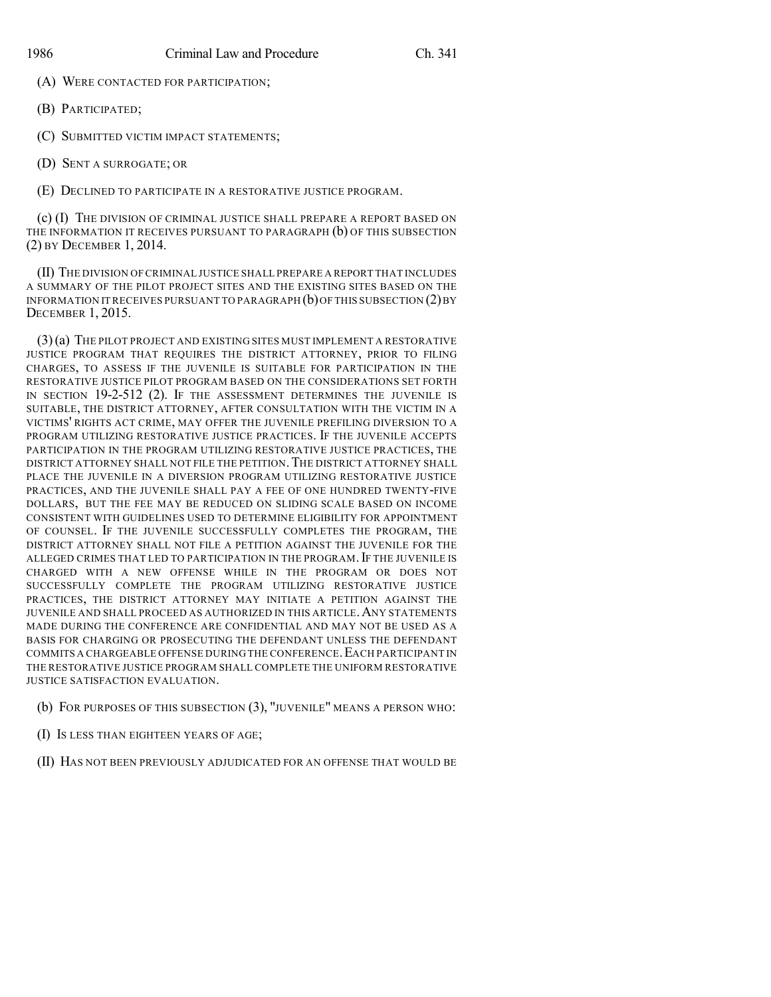(A) WERE CONTACTED FOR PARTICIPATION;

(B) PARTICIPATED;

(C) SUBMITTED VICTIM IMPACT STATEMENTS;

(D) SENT A SURROGATE; OR

(E) DECLINED TO PARTICIPATE IN A RESTORATIVE JUSTICE PROGRAM.

(c) (I) THE DIVISION OF CRIMINAL JUSTICE SHALL PREPARE A REPORT BASED ON THE INFORMATION IT RECEIVES PURSUANT TO PARAGRAPH (b) OF THIS SUBSECTION (2) BY DECEMBER 1, 2014.

(II) THE DIVISION OF CRIMINAL JUSTICE SHALL PREPARE A REPORT THAT INCLUDES A SUMMARY OF THE PILOT PROJECT SITES AND THE EXISTING SITES BASED ON THE INFORMATION IT RECEIVES PURSUANT TO PARAGRAPH  $(b)$  OF THIS SUBSECTION  $(2)$  BY DECEMBER 1, 2015.

(3)(a) THE PILOT PROJECT AND EXISTING SITES MUST IMPLEMENT A RESTORATIVE JUSTICE PROGRAM THAT REQUIRES THE DISTRICT ATTORNEY, PRIOR TO FILING CHARGES, TO ASSESS IF THE JUVENILE IS SUITABLE FOR PARTICIPATION IN THE RESTORATIVE JUSTICE PILOT PROGRAM BASED ON THE CONSIDERATIONS SET FORTH IN SECTION 19-2-512 (2). IF THE ASSESSMENT DETERMINES THE JUVENILE IS SUITABLE, THE DISTRICT ATTORNEY, AFTER CONSULTATION WITH THE VICTIM IN A VICTIMS' RIGHTS ACT CRIME, MAY OFFER THE JUVENILE PREFILING DIVERSION TO A PROGRAM UTILIZING RESTORATIVE JUSTICE PRACTICES. IF THE JUVENILE ACCEPTS PARTICIPATION IN THE PROGRAM UTILIZING RESTORATIVE JUSTICE PRACTICES, THE DISTRICT ATTORNEY SHALL NOT FILE THE PETITION.THE DISTRICT ATTORNEY SHALL PLACE THE JUVENILE IN A DIVERSION PROGRAM UTILIZING RESTORATIVE JUSTICE PRACTICES, AND THE JUVENILE SHALL PAY A FEE OF ONE HUNDRED TWENTY-FIVE DOLLARS, BUT THE FEE MAY BE REDUCED ON SLIDING SCALE BASED ON INCOME CONSISTENT WITH GUIDELINES USED TO DETERMINE ELIGIBILITY FOR APPOINTMENT OF COUNSEL. IF THE JUVENILE SUCCESSFULLY COMPLETES THE PROGRAM, THE DISTRICT ATTORNEY SHALL NOT FILE A PETITION AGAINST THE JUVENILE FOR THE ALLEGED CRIMES THAT LED TO PARTICIPATION IN THE PROGRAM. IF THE JUVENILE IS CHARGED WITH A NEW OFFENSE WHILE IN THE PROGRAM OR DOES NOT SUCCESSFULLY COMPLETE THE PROGRAM UTILIZING RESTORATIVE JUSTICE PRACTICES, THE DISTRICT ATTORNEY MAY INITIATE A PETITION AGAINST THE JUVENILE AND SHALL PROCEED AS AUTHORIZED IN THIS ARTICLE.ANY STATEMENTS MADE DURING THE CONFERENCE ARE CONFIDENTIAL AND MAY NOT BE USED AS A BASIS FOR CHARGING OR PROSECUTING THE DEFENDANT UNLESS THE DEFENDANT COMMITS A CHARGEABLE OFFENSE DURING THE CONFERENCE. EACH PARTICIPANT IN THE RESTORATIVE JUSTICE PROGRAM SHALL COMPLETE THE UNIFORM RESTORATIVE JUSTICE SATISFACTION EVALUATION.

- (b) FOR PURPOSES OF THIS SUBSECTION (3), "JUVENILE" MEANS A PERSON WHO:
- (I) IS LESS THAN EIGHTEEN YEARS OF AGE;
- (II) HAS NOT BEEN PREVIOUSLY ADJUDICATED FOR AN OFFENSE THAT WOULD BE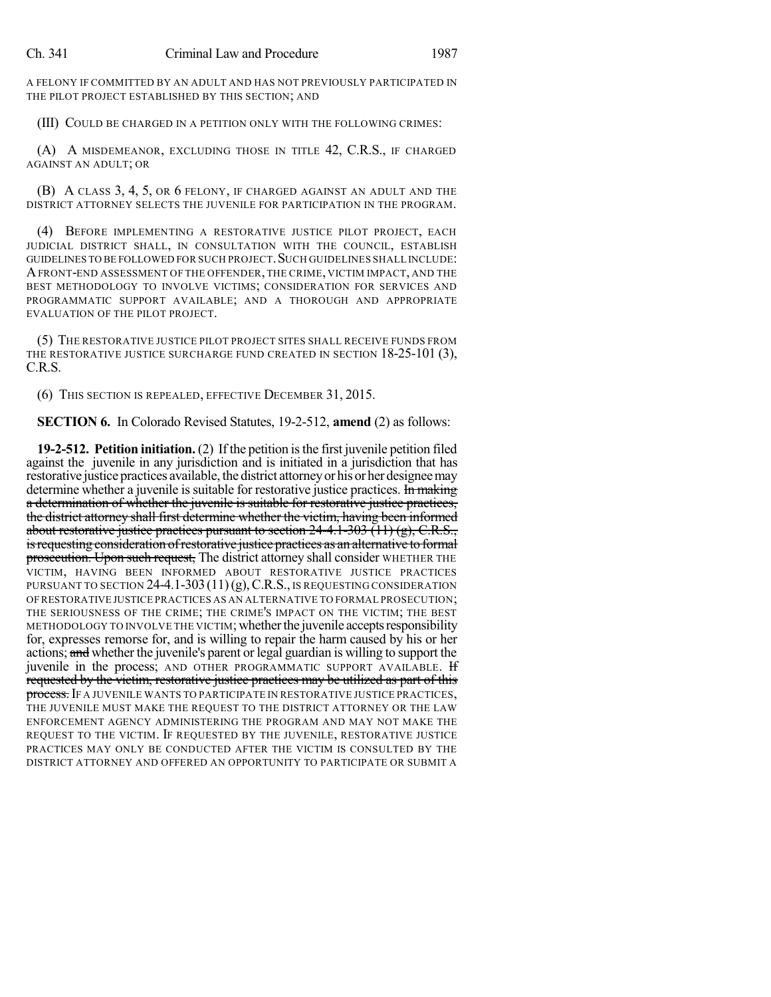A FELONY IF COMMITTED BY AN ADULT AND HAS NOT PREVIOUSLY PARTICIPATED IN THE PILOT PROJECT ESTABLISHED BY THIS SECTION; AND

(III) COULD BE CHARGED IN A PETITION ONLY WITH THE FOLLOWING CRIMES:

(A) A MISDEMEANOR, EXCLUDING THOSE IN TITLE 42, C.R.S., IF CHARGED AGAINST AN ADULT; OR

(B) A CLASS 3, 4, 5, OR 6 FELONY, IF CHARGED AGAINST AN ADULT AND THE DISTRICT ATTORNEY SELECTS THE JUVENILE FOR PARTICIPATION IN THE PROGRAM.

(4) BEFORE IMPLEMENTING A RESTORATIVE JUSTICE PILOT PROJECT, EACH JUDICIAL DISTRICT SHALL, IN CONSULTATION WITH THE COUNCIL, ESTABLISH GUIDELINES TO BE FOLLOWED FOR SUCH PROJECT.SUCH GUIDELINES SHALL INCLUDE: AFRONT-END ASSESSMENT OF THE OFFENDER, THE CRIME, VICTIM IMPACT, AND THE BEST METHODOLOGY TO INVOLVE VICTIMS; CONSIDERATION FOR SERVICES AND PROGRAMMATIC SUPPORT AVAILABLE; AND A THOROUGH AND APPROPRIATE EVALUATION OF THE PILOT PROJECT.

(5) THE RESTORATIVE JUSTICE PILOT PROJECT SITES SHALL RECEIVE FUNDS FROM THE RESTORATIVE JUSTICE SURCHARGE FUND CREATED IN SECTION 18-25-101 (3), C.R.S.

(6) THIS SECTION IS REPEALED, EFFECTIVE DECEMBER 31, 2015.

**SECTION 6.** In Colorado Revised Statutes, 19-2-512, **amend** (2) as follows:

**19-2-512. Petition initiation.** (2) If the petition isthe first juvenile petition filed against the juvenile in any jurisdiction and is initiated in a jurisdiction that has restorative justice practices available, the district attorneyor hisor her designeemay determine whether a juvenile is suitable for restorative justice practices. In making a determination of whether the juvenile is suitable for restorative justice practices, the district attorney shall first determine whether the victim, having been informed about restorative justice practices pursuant to section  $24-4.1-303$  (11) (g), C.R.S., isrequesting consideration ofrestorative justice practices as an alternative to formal prosecution. Upon such request, The district attorney shall consider WHETHER THE VICTIM, HAVING BEEN INFORMED ABOUT RESTORATIVE JUSTICE PRACTICES PURSUANT TO SECTION  $24-4.1-303(11)(g)$ , C.R.S., IS REQUESTING CONSIDERATION OF RESTORATIVE JUSTICE PRACTICES AS AN ALTERNATIVE TO FORMAL PROSECUTION; THE SERIOUSNESS OF THE CRIME; THE CRIME'S IMPACT ON THE VICTIM; THE BEST METHODOLOGY TO INVOLVE THE VICTIM; whether the juvenile accepts responsibility for, expresses remorse for, and is willing to repair the harm caused by his or her actions; and whether the juvenile's parent or legal guardian is willing to support the juvenile in the process; AND OTHER PROGRAMMATIC SUPPORT AVAILABLE. If requested by the victim, restorative justice practices may be utilized as part of this process. If a JUVENILE WANTS TO PARTICIPATE IN RESTORATIVE JUSTICE PRACTICES, THE JUVENILE MUST MAKE THE REQUEST TO THE DISTRICT ATTORNEY OR THE LAW ENFORCEMENT AGENCY ADMINISTERING THE PROGRAM AND MAY NOT MAKE THE REQUEST TO THE VICTIM. IF REQUESTED BY THE JUVENILE, RESTORATIVE JUSTICE PRACTICES MAY ONLY BE CONDUCTED AFTER THE VICTIM IS CONSULTED BY THE DISTRICT ATTORNEY AND OFFERED AN OPPORTUNITY TO PARTICIPATE OR SUBMIT A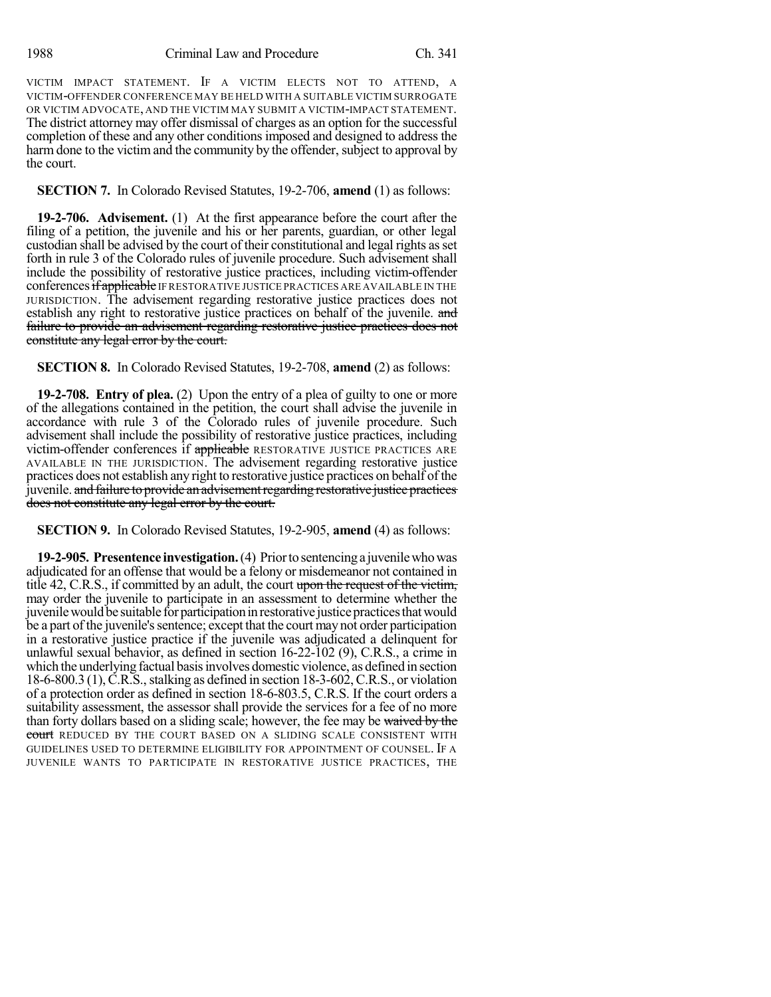VICTIM IMPACT STATEMENT. IF A VICTIM ELECTS NOT TO ATTEND, A VICTIM-OFFENDER CONFERENCE MAY BE HELD WITH A SUITABLE VICTIM SURROGATE OR VICTIM ADVOCATE, AND THE VICTIM MAY SUBMIT A VICTIM-IMPACT STATEMENT. The district attorney may offer dismissal of charges as an option for the successful completion of these and any other conditions imposed and designed to address the harm done to the victim and the community by the offender, subject to approval by the court.

# **SECTION 7.** In Colorado Revised Statutes, 19-2-706, **amend** (1) as follows:

**19-2-706. Advisement.** (1) At the first appearance before the court after the filing of a petition, the juvenile and his or her parents, guardian, or other legal custodian shall be advised by the court of their constitutional and legal rights asset forth in rule 3 of the Colorado rules of juvenile procedure. Such advisement shall include the possibility of restorative justice practices, including victim-offender conferences if applicable IF RESTORATIVE JUSTICE PRACTICES ARE AVAILABLE IN THE JURISDICTION. The advisement regarding restorative justice practices does not establish any right to restorative justice practices on behalf of the juvenile. and failure to provide an advisement regarding restorative justice practices does not constitute any legal error by the court.

**SECTION 8.** In Colorado Revised Statutes, 19-2-708, **amend** (2) as follows:

**19-2-708. Entry of plea.** (2) Upon the entry of a plea of guilty to one or more of the allegations contained in the petition, the court shall advise the juvenile in accordance with rule 3 of the Colorado rules of juvenile procedure. Such advisement shall include the possibility of restorative justice practices, including victim-offender conferences if applicable RESTORATIVE JUSTICE PRACTICES ARE AVAILABLE IN THE JURISDICTION. The advisement regarding restorative justice practices does not establish any right to restorative justice practices on behalf of the juvenile. and failure to provide an advisement regarding restorative justice practices does not constitute any legal error by the court.

**SECTION 9.** In Colorado Revised Statutes, 19-2-905, **amend** (4) as follows:

**19-2-905. Presentence investigation.**(4) Priortosentencinga juvenilewhowas adjudicated for an offense that would be a felony or misdemeanor not contained in title 42, C.R.S., if committed by an adult, the court upon the request of the victim, may order the juvenile to participate in an assessment to determine whether the juvenile would be suitable for participation in restorative justice practices that would be a part of the juvenile's sentence; except that the court may not order participation in a restorative justice practice if the juvenile was adjudicated a delinquent for unlawful sexual behavior, as defined in section 16-22-102 (9), C.R.S., a crime in which the underlying factual basisinvolves domestic violence, as defined in section  $18-6-800.3$  (1), C.R.S., stalking as defined in section  $18-3-602$ , C.R.S., or violation of a protection order as defined in section 18-6-803.5, C.R.S. If the court orders a suitability assessment, the assessor shall provide the services for a fee of no more than forty dollars based on a sliding scale; however, the fee may be waived by the court REDUCED BY THE COURT BASED ON A SLIDING SCALE CONSISTENT WITH GUIDELINES USED TO DETERMINE ELIGIBILITY FOR APPOINTMENT OF COUNSEL. IF A JUVENILE WANTS TO PARTICIPATE IN RESTORATIVE JUSTICE PRACTICES, THE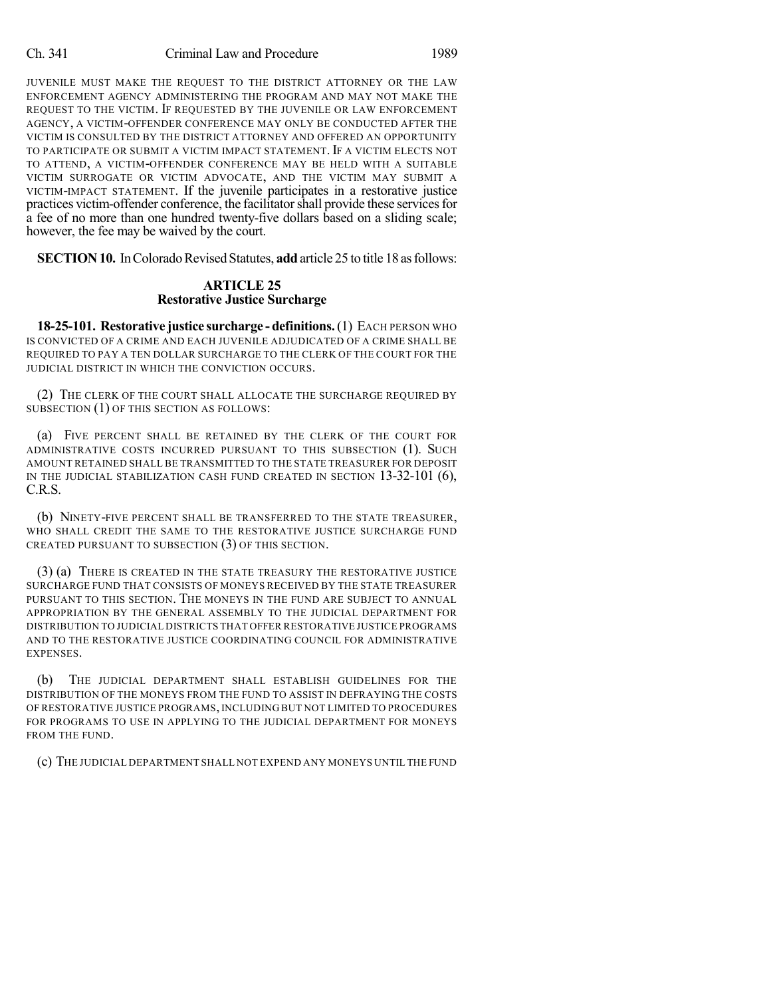#### Ch. 341 Criminal Law and Procedure 1989

JUVENILE MUST MAKE THE REQUEST TO THE DISTRICT ATTORNEY OR THE LAW ENFORCEMENT AGENCY ADMINISTERING THE PROGRAM AND MAY NOT MAKE THE REQUEST TO THE VICTIM. IF REQUESTED BY THE JUVENILE OR LAW ENFORCEMENT AGENCY, A VICTIM-OFFENDER CONFERENCE MAY ONLY BE CONDUCTED AFTER THE VICTIM IS CONSULTED BY THE DISTRICT ATTORNEY AND OFFERED AN OPPORTUNITY TO PARTICIPATE OR SUBMIT A VICTIM IMPACT STATEMENT.IF A VICTIM ELECTS NOT TO ATTEND, A VICTIM-OFFENDER CONFERENCE MAY BE HELD WITH A SUITABLE VICTIM SURROGATE OR VICTIM ADVOCATE, AND THE VICTIM MAY SUBMIT A VICTIM-IMPACT STATEMENT. If the juvenile participates in a restorative justice practices victim-offender conference, the facilitator shall provide these services for a fee of no more than one hundred twenty-five dollars based on a sliding scale; however, the fee may be waived by the court.

**SECTION 10.** In Colorado Revised Statutes, add article 25 to title 18 as follows:

### **ARTICLE 25 Restorative Justice Surcharge**

**18-25-101. Restorative justice surcharge - definitions.**(1) EACH PERSON WHO IS CONVICTED OF A CRIME AND EACH JUVENILE ADJUDICATED OF A CRIME SHALL BE REQUIRED TO PAY A TEN DOLLAR SURCHARGE TO THE CLERK OF THE COURT FOR THE JUDICIAL DISTRICT IN WHICH THE CONVICTION OCCURS.

(2) THE CLERK OF THE COURT SHALL ALLOCATE THE SURCHARGE REQUIRED BY SUBSECTION (1) OF THIS SECTION AS FOLLOWS:

(a) FIVE PERCENT SHALL BE RETAINED BY THE CLERK OF THE COURT FOR ADMINISTRATIVE COSTS INCURRED PURSUANT TO THIS SUBSECTION (1). SUCH AMOUNT RETAINED SHALL BE TRANSMITTED TO THE STATE TREASURER FOR DEPOSIT IN THE JUDICIAL STABILIZATION CASH FUND CREATED IN SECTION 13-32-101 (6), C.R.S.

(b) NINETY-FIVE PERCENT SHALL BE TRANSFERRED TO THE STATE TREASURER, WHO SHALL CREDIT THE SAME TO THE RESTORATIVE JUSTICE SURCHARGE FUND CREATED PURSUANT TO SUBSECTION (3) OF THIS SECTION.

(3) (a) THERE IS CREATED IN THE STATE TREASURY THE RESTORATIVE JUSTICE SURCHARGE FUND THAT CONSISTS OF MONEYS RECEIVED BY THE STATE TREASURER PURSUANT TO THIS SECTION. THE MONEYS IN THE FUND ARE SUBJECT TO ANNUAL APPROPRIATION BY THE GENERAL ASSEMBLY TO THE JUDICIAL DEPARTMENT FOR DISTRIBUTION TO JUDICIAL DISTRICTS THAT OFFER RESTORATIVE JUSTICE PROGRAMS AND TO THE RESTORATIVE JUSTICE COORDINATING COUNCIL FOR ADMINISTRATIVE EXPENSES.

(b) THE JUDICIAL DEPARTMENT SHALL ESTABLISH GUIDELINES FOR THE DISTRIBUTION OF THE MONEYS FROM THE FUND TO ASSIST IN DEFRAYING THE COSTS OF RESTORATIVE JUSTICE PROGRAMS, INCLUDING BUT NOT LIMITED TO PROCEDURES FOR PROGRAMS TO USE IN APPLYING TO THE JUDICIAL DEPARTMENT FOR MONEYS FROM THE FUND.

(c) THE JUDICIAL DEPARTMENT SHALL NOT EXPEND ANY MONEYS UNTIL THE FUND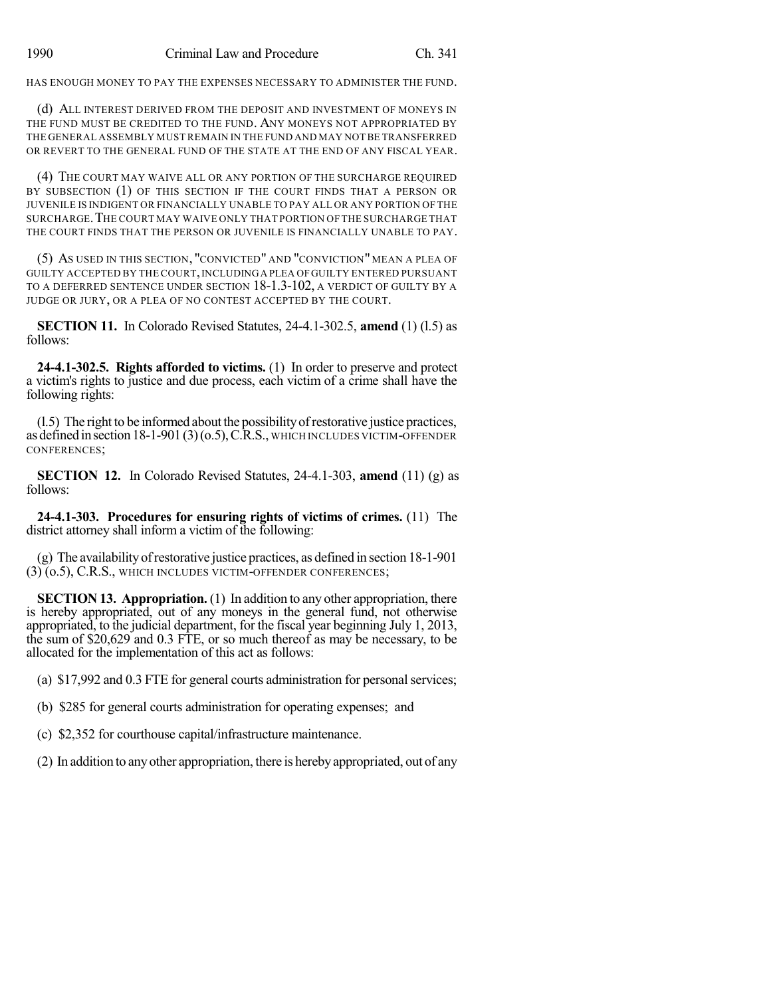HAS ENOUGH MONEY TO PAY THE EXPENSES NECESSARY TO ADMINISTER THE FUND.

(d) ALL INTEREST DERIVED FROM THE DEPOSIT AND INVESTMENT OF MONEYS IN THE FUND MUST BE CREDITED TO THE FUND. ANY MONEYS NOT APPROPRIATED BY THE GENERAL ASSEMBLY MUST REMAIN IN THE FUND AND MAY NOT BE TRANSFERRED OR REVERT TO THE GENERAL FUND OF THE STATE AT THE END OF ANY FISCAL YEAR.

(4) THE COURT MAY WAIVE ALL OR ANY PORTION OF THE SURCHARGE REQUIRED BY SUBSECTION (1) OF THIS SECTION IF THE COURT FINDS THAT A PERSON OR JUVENILE IS INDIGENT OR FINANCIALLY UNABLE TO PAY ALL OR ANY PORTION OF THE SURCHARGE.THE COURT MAY WAIVE ONLY THAT PORTION OF THE SURCHARGE THAT THE COURT FINDS THAT THE PERSON OR JUVENILE IS FINANCIALLY UNABLE TO PAY.

(5) AS USED IN THIS SECTION, "CONVICTED" AND "CONVICTION" MEAN A PLEA OF GUILTY ACCEPTED BY THE COURT,INCLUDINGA PLEA OFGUILTY ENTERED PURSUANT TO A DEFERRED SENTENCE UNDER SECTION 18-1.3-102, A VERDICT OF GUILTY BY A JUDGE OR JURY, OR A PLEA OF NO CONTEST ACCEPTED BY THE COURT.

**SECTION 11.** In Colorado Revised Statutes, 24-4.1-302.5, **amend** (1) (l.5) as follows:

**24-4.1-302.5. Rights afforded to victims.** (1) In order to preserve and protect a victim's rights to justice and due process, each victim of a crime shall have the following rights:

(l.5) The right to be informed about the possibilityofrestorative justice practices, asdefinedinsection18-1-901(3)(o.5),C.R.S., WHICH INCLUDES VICTIM-OFFENDER CONFERENCES;

**SECTION 12.** In Colorado Revised Statutes, 24-4.1-303, **amend** (11) (g) as follows:

**24-4.1-303. Procedures for ensuring rights of victims of crimes.** (11) The district attorney shall inform a victim of the following:

(g) The availabilityofrestorative justice practices, as defined in section 18-1-901 (3) (o.5), C.R.S., WHICH INCLUDES VICTIM-OFFENDER CONFERENCES;

**SECTION 13. Appropriation.** (1) In addition to any other appropriation, there is hereby appropriated, out of any moneys in the general fund, not otherwise appropriated, to the judicial department, for the fiscal year beginning July 1, 2013, the sum of \$20,629 and 0.3 FTE, or so much thereof as may be necessary, to be allocated for the implementation of this act as follows:

(a) \$17,992 and 0.3 FTE for general courts administration for personalservices;

(b) \$285 for general courts administration for operating expenses; and

(c) \$2,352 for courthouse capital/infrastructure maintenance.

(2) In addition to anyother appropriation, there is herebyappropriated, out of any